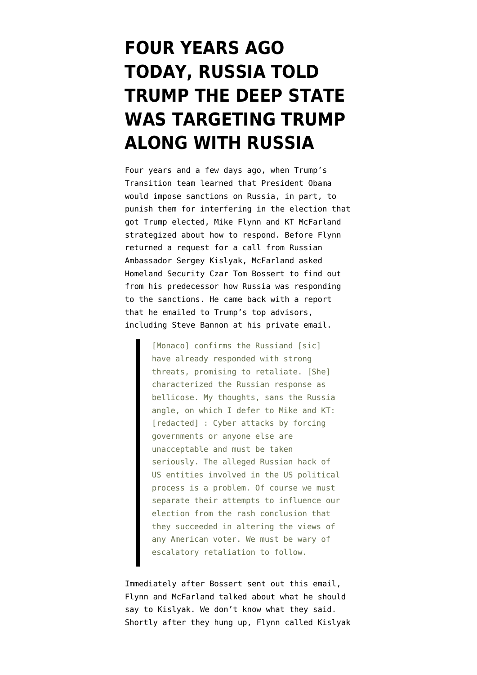## **[FOUR YEARS AGO](https://www.emptywheel.net/2020/12/31/four-years-ago-today-russia-told-trump-the-deep-state-was-targeting-trump-along-with-russia/) [TODAY, RUSSIA TOLD](https://www.emptywheel.net/2020/12/31/four-years-ago-today-russia-told-trump-the-deep-state-was-targeting-trump-along-with-russia/) [TRUMP THE DEEP STATE](https://www.emptywheel.net/2020/12/31/four-years-ago-today-russia-told-trump-the-deep-state-was-targeting-trump-along-with-russia/) [WAS TARGETING TRUMP](https://www.emptywheel.net/2020/12/31/four-years-ago-today-russia-told-trump-the-deep-state-was-targeting-trump-along-with-russia/) [ALONG WITH RUSSIA](https://www.emptywheel.net/2020/12/31/four-years-ago-today-russia-told-trump-the-deep-state-was-targeting-trump-along-with-russia/)**

Four years and a few days ago, when Trump's Transition team learned that President Obama would impose sanctions on Russia, in part, to punish them for interfering in the election that got Trump elected, Mike Flynn and KT McFarland strategized about how to respond. Before Flynn returned a request for a call from Russian Ambassador Sergey Kislyak, McFarland asked Homeland Security Czar Tom Bossert to find out from his predecessor how Russia was responding to the sanctions. He came back with a [report](https://beta.documentcloud.org/documents/20412647-170927-flynn-warrant#document/p16/a2005307) that he emailed to Trump's top advisors, including Steve Bannon at his private email.

> [Monaco] confirms the Russiand [sic] have already responded with strong threats, promising to retaliate. [She] characterized the Russian response as bellicose. My thoughts, sans the Russia angle, on which I defer to Mike and KT: [redacted] : Cyber attacks by forcing governments or anyone else are unacceptable and must be taken seriously. The alleged Russian hack of US entities involved in the US political process is a problem. Of course we must separate their attempts to influence our election from the rash conclusion that they succeeded in altering the views of any American voter. We must be wary of escalatory retaliation to follow.

Immediately after Bossert sent out this email, Flynn and McFarland talked about what he should say to Kislyak. We don't know what they said. Shortly after they hung up, Flynn called Kislyak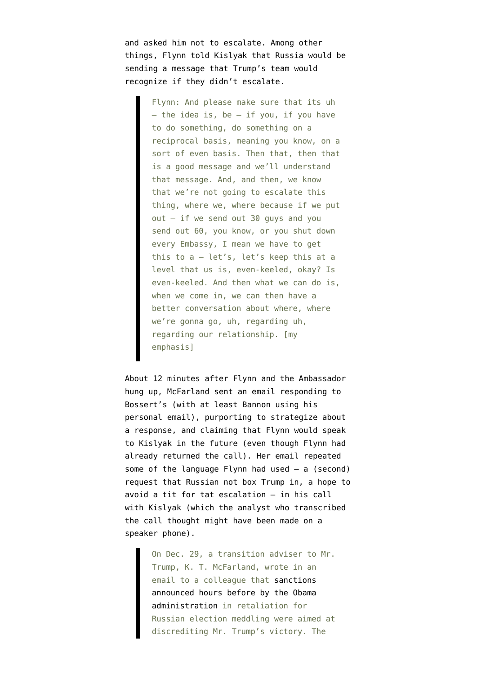and asked him not to escalate. Among other things, Flynn [told Kislyak](https://beta.documentcloud.org/documents/20413858-200529-flynn-transcripts-with-kislyak) that Russia would be sending a message that Trump's team would recognize if they didn't escalate.

> Flynn: And please make sure that its uh  $-$  the idea is, be  $-$  if you, if you have to do something, do something on a reciprocal basis, meaning you know, on a sort of even basis. Then that, then that is a good message and we'll understand that message. And, and then, we know that we're not going to escalate this thing, where we, where because if we put out — if we send out 30 guys and you send out 60, you know, or you shut down every Embassy, I mean we have to get this to a — let's, let's keep this at a level that us is, even-keeled, okay? Is even-keeled. And then what we can do is, when we come in, we can then have a better conversation about where, where we're gonna go, uh, regarding uh, regarding our relationship. [my emphasis]

About 12 minutes after Flynn and the Ambassador hung up, McFarland [sent an email](https://www.nytimes.com/2017/12/02/us/russia-mcfarland-flynn-trump-emails.html) responding to Bossert's (with at least Bannon using his personal email), purporting to strategize about a response, and claiming that Flynn would speak to Kislyak in the future (even though Flynn had already returned the call). Her email repeated some of the language Flynn had used  $-$  a (second) request that Russian not box Trump in, a hope to avoid a tit for tat escalation — in his call with Kislyak (which the analyst who transcribed the call thought might have been made on a speaker phone).

> On Dec. 29, a transition adviser to Mr. Trump, K. T. McFarland, wrote in an email to a colleague that [sanctions](https://www.nytimes.com/2016/12/29/us/politics/russia-election-hacking-sanctions.html) [announced hours before by the Obama](https://www.nytimes.com/2016/12/29/us/politics/russia-election-hacking-sanctions.html) [administration](https://www.nytimes.com/2016/12/29/us/politics/russia-election-hacking-sanctions.html) in retaliation for Russian election meddling were aimed at discrediting Mr. Trump's victory. The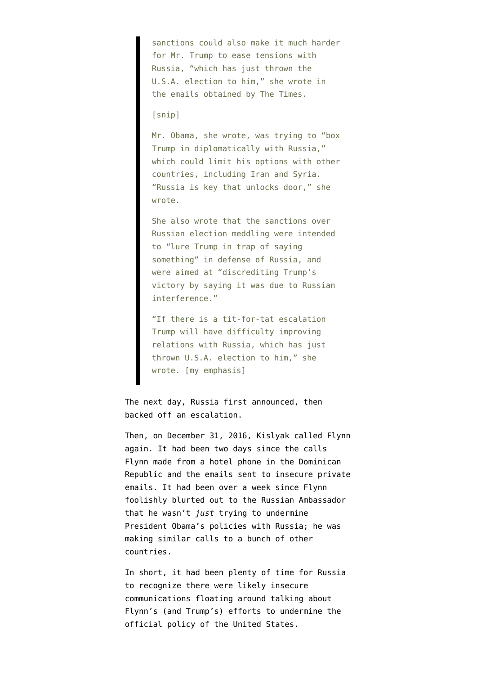sanctions could also make it much harder for Mr. Trump to ease tensions with Russia, "which has just thrown the U.S.A. election to him," she wrote in the emails obtained by The Times.

[snip]

Mr. Obama, she wrote, was trying to "box Trump in diplomatically with Russia," which could limit his options with other countries, including Iran and Syria. "Russia is key that unlocks door," she wrote.

She also wrote that the sanctions over Russian election meddling were intended to "lure Trump in trap of saying something" in defense of Russia, and were aimed at "discrediting Trump's victory by saying it was due to Russian interference."

"If there is a tit-for-tat escalation Trump will have difficulty improving relations with Russia, which has just thrown U.S.A. election to him," she wrote. [my emphasis]

The next day, Russia first announced, then backed off an escalation.

Then, on December 31, 2016, Kislyak called Flynn again. It had been two days since the calls Flynn made from a hotel phone in the Dominican Republic and the emails sent to insecure private emails. It had been over a week since Flynn foolishly blurted out to the Russian Ambassador that he wasn't *just* trying to undermine President Obama's policies with Russia; he was making similar calls to a bunch of other countries.

In short, it had been plenty of time for Russia to recognize there were likely insecure communications floating around talking about Flynn's (and Trump's) efforts to undermine the official policy of the United States.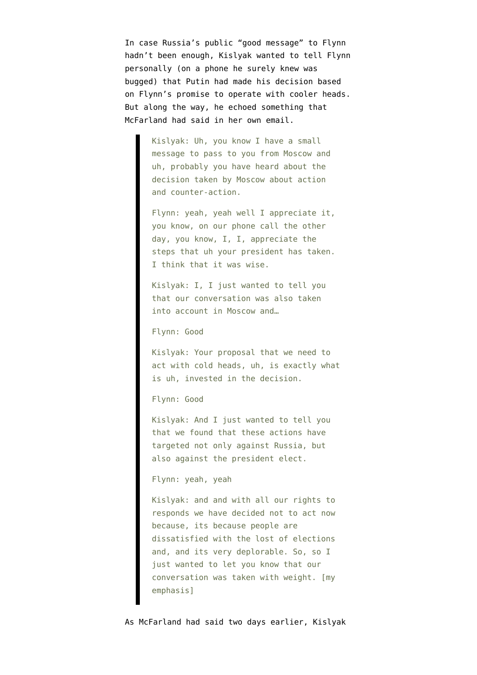In case Russia's public "good message" to Flynn hadn't been enough, Kislyak wanted to tell Flynn personally (on a phone he surely knew was bugged) that Putin had made his decision based on Flynn's promise to operate with cooler heads. But along the way, he echoed something that McFarland had said in her own email.

> Kislyak: Uh, you know I have a small message to pass to you from Moscow and uh, probably you have heard about the decision taken by Moscow about action and counter-action.

Flynn: yeah, yeah well I appreciate it, you know, on our phone call the other day, you know, I, I, appreciate the steps that uh your president has taken. I think that it was wise.

Kislyak: I, I just wanted to tell you that our conversation was also taken into account in Moscow and…

Flynn: Good

Kislyak: Your proposal that we need to act with cold heads, uh, is exactly what is uh, invested in the decision.

Flynn: Good

Kislyak: And I just wanted to tell you that we found that these actions have targeted not only against Russia, but also against the president elect.

Flynn: yeah, yeah

Kislyak: and and with all our rights to responds we have decided not to act now because, its because people are dissatisfied with the lost of elections and, and its very deplorable. So, so I just wanted to let you know that our conversation was taken with weight. [my emphasis]

As McFarland had said two days earlier, Kislyak